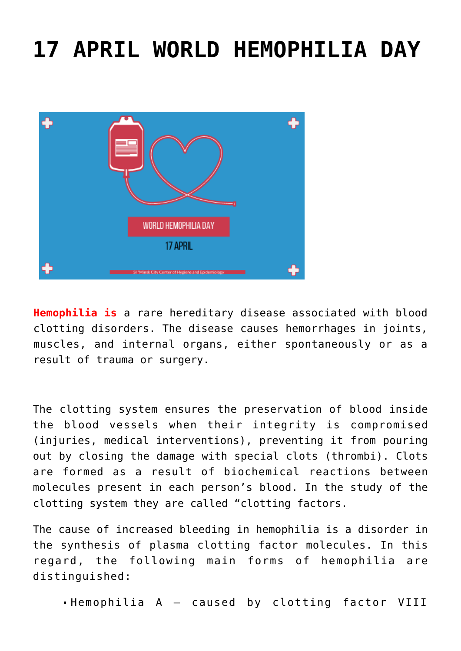## **[17 APRIL WORLD HEMOPHILIA DAY](https://ztem.by/en/news-and-media/news-2022-04-17-2/)**



**Hemophilia is** a rare hereditary disease associated with blood clotting disorders. The disease causes hemorrhages in joints, muscles, and internal organs, either spontaneously or as a result of trauma or surgery.

The clotting system ensures the preservation of blood inside the blood vessels when their integrity is compromised (injuries, medical interventions), preventing it from pouring out by closing the damage with special clots (thrombi). Clots are formed as a result of biochemical reactions between molecules present in each person's blood. In the study of the clotting system they are called "clotting factors.

The cause of increased bleeding in hemophilia is a disorder in the synthesis of plasma clotting factor molecules. In this regard, the following main forms of hemophilia are distinguished:

Hemophilia A – caused by clotting factor VIII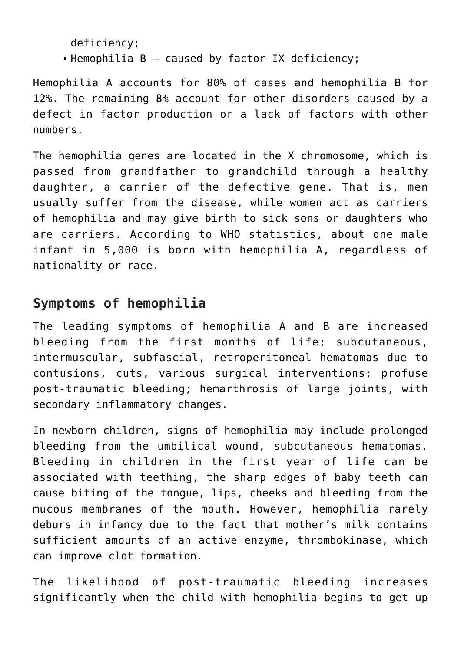deficiency;

Hemophilia B – caused by factor IX deficiency;

Hemophilia A accounts for 80% of cases and hemophilia B for 12%. The remaining 8% account for other disorders caused by a defect in factor production or a lack of factors with other numbers.

The hemophilia genes are located in the X chromosome, which is passed from grandfather to grandchild through a healthy daughter, a carrier of the defective gene. That is, men usually suffer from the disease, while women act as carriers of hemophilia and may give birth to sick sons or daughters who are carriers. According to WHO statistics, about one male infant in 5,000 is born with hemophilia A, regardless of nationality or race.

## **Symptoms of hemophilia**

The leading symptoms of hemophilia A and B are increased bleeding from the first months of life; subcutaneous, intermuscular, subfascial, retroperitoneal hematomas due to contusions, cuts, various surgical interventions; profuse post-traumatic bleeding; hemarthrosis of large joints, with secondary inflammatory changes.

In newborn children, signs of hemophilia may include prolonged bleeding from the umbilical wound, subcutaneous hematomas. Bleeding in children in the first year of life can be associated with teething, the sharp edges of baby teeth can cause biting of the tongue, lips, cheeks and bleeding from the mucous membranes of the mouth. However, hemophilia rarely deburs in infancy due to the fact that mother's milk contains sufficient amounts of an active enzyme, thrombokinase, which can improve clot formation.

The likelihood of post-traumatic bleeding increases significantly when the child with hemophilia begins to get up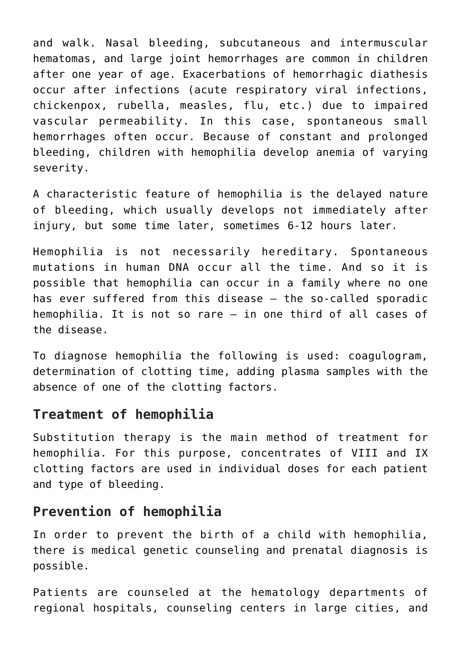and walk. Nasal bleeding, subcutaneous and intermuscular hematomas, and large joint hemorrhages are common in children after one year of age. Exacerbations of hemorrhagic diathesis occur after infections (acute respiratory viral infections, chickenpox, rubella, measles, flu, etc.) due to impaired vascular permeability. In this case, spontaneous small hemorrhages often occur. Because of constant and prolonged bleeding, children with hemophilia develop anemia of varying severity.

A characteristic feature of hemophilia is the delayed nature of bleeding, which usually develops not immediately after injury, but some time later, sometimes 6-12 hours later.

Hemophilia is not necessarily hereditary. Spontaneous mutations in human DNA occur all the time. And so it is possible that hemophilia can occur in a family where no one has ever suffered from this disease – the so-called sporadic hemophilia. It is not so rare – in one third of all cases of the disease.

To diagnose hemophilia the following is used: coagulogram, determination of clotting time, adding plasma samples with the absence of one of the clotting factors.

## **Treatment of hemophilia**

Substitution therapy is the main method of treatment for hemophilia. For this purpose, concentrates of VIII and IX clotting factors are used in individual doses for each patient and type of bleeding.

## **Prevention of hemophilia**

In order to prevent the birth of a child with hemophilia, there is medical genetic counseling and prenatal diagnosis is possible.

Patients are counseled at the hematology departments of regional hospitals, counseling centers in large cities, and